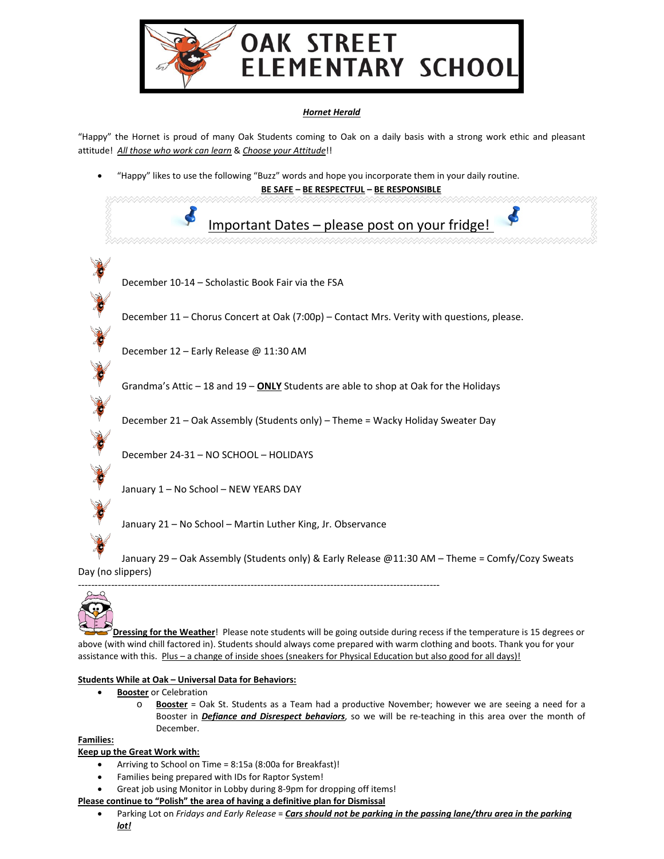

## *Hornet Herald*

"Happy" the Hornet is proud of many Oak Students coming to Oak on a daily basis with a strong work ethic and pleasant attitude! *All those who work can learn* & *Choose your Attitude*!!

• "Happy" likes to use the following "Buzz" words and hope you incorporate them in your daily routine.

**BE SAFE – BE RESPECTFUL – BE RESPONSIBLE**  $\blacktriangleleft$ Important Dates – please post on your fridge! December 10-14 – Scholastic Book Fair via the FSA December 11 – Chorus Concert at Oak (7:00p) – Contact Mrs. Verity with questions, please. Col Col Col December 12 – Early Release @ 11:30 AM Grandma's Attic – 18 and 19 – **ONLY** Students are able to shop at Oak for the Holidays December 21 – Oak Assembly (Students only) – Theme = Wacky Holiday Sweater Day CON December 24-31 – NO SCHOOL – HOLIDAYS January 1 – No School – NEW YEARS DAY January 21 – No School – Martin Luther King, Jr. Observance January 29 – Oak Assembly (Students only) & Early Release @11:30 AM – Theme = Comfy/Cozy Sweats Day (no slippers)

-------------------------------------------------------------------------------------------------------------



**Dressing for the Weather**! Please note students will be going outside during recess if the temperature is 15 degrees or above (with wind chill factored in). Students should always come prepared with warm clothing and boots. Thank you for your assistance with this. Plus - a change of inside shoes (sneakers for Physical Education but also good for all days)!

#### **Students While at Oak – Universal Data for Behaviors:**

- **Booster** or Celebration
	- o **Booster** = Oak St. Students as a Team had a productive November; however we are seeing a need for a Booster in *Defiance and Disrespect behaviors*, so we will be re-teaching in this area over the month of December.

**Families:**

# **Keep up the Great Work with:**

- Arriving to School on Time = 8:15a (8:00a for Breakfast)!
- Families being prepared with IDs for Raptor System!
- Great job using Monitor in Lobby during 8-9pm for dropping off items!

#### **Please continue to "Polish" the area of having a definitive plan for Dismissal**

• Parking Lot on *Fridays and Early Release* = *Cars should not be parking in the passing lane/thru area in the parking lot!*